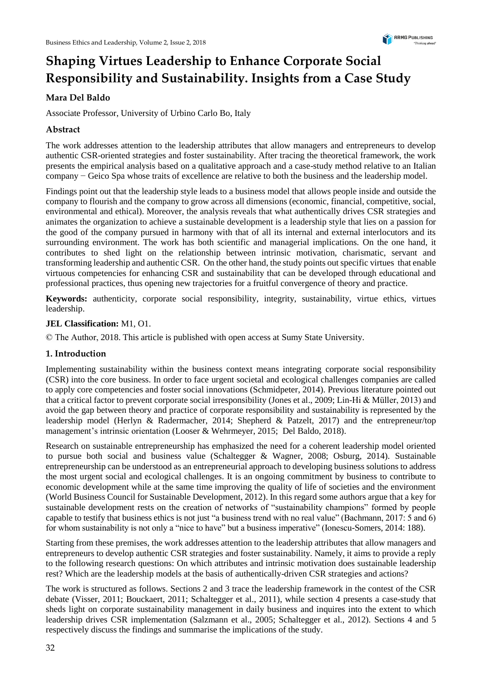# **Shaping Virtues Leadership to Enhance Corporate Social Responsibility and Sustainability. Insights from a Case Study**

## **Mara Del Baldo**

Associate Professor, University of Urbino Carlo Bo, Italy

## **Abstract**

The work addresses attention to the leadership attributes that allow managers and entrepreneurs to develop authentic CSR-oriented strategies and foster sustainability. After tracing the theoretical framework, the work presents the empirical analysis based on a qualitative approach and a case-study method relative to an Italian company − Geico Spa whose traits of excellence are relative to both the business and the leadership model.

Findings point out that the leadership style leads to a business model that allows people inside and outside the company to flourish and the company to grow across all dimensions (economic, financial, competitive, social, environmental and ethical). Moreover, the analysis reveals that what authentically drives CSR strategies and animates the organization to achieve a sustainable development is a leadership style that lies on a passion for the good of the company pursued in harmony with that of all its internal and external interlocutors and its surrounding environment. The work has both scientific and managerial implications. On the one hand, it contributes to shed light on the relationship between intrinsic motivation, charismatic, servant and transforming leadership and authentic CSR. On the other hand, the study points out specific virtues that enable virtuous competencies for enhancing CSR and sustainability that can be developed through educational and professional practices, thus opening new trajectories for a fruitful convergence of theory and practice.

**Keywords:** authenticity, corporate social responsibility, integrity, sustainability, virtue ethics, virtues leadership.

#### **JEL Classification:** M1, O1.

© The Author, 2018. This article is published with open access at Sumy State University.

#### **1. Introduction**

Implementing sustainability within the business context means integrating corporate social responsibility (CSR) into the core business. In order to face urgent societal and ecological challenges companies are called to apply core competencies and foster social innovations (Schmidpeter, 2014). Previous literature pointed out that a critical factor to prevent corporate social irresponsibility (Jones et al., 2009; Lin-Hi & Müller, 2013) and avoid the gap between theory and practice of corporate responsibility and sustainability is represented by the leadership model (Herlyn & Radermacher, 2014; Shepherd & Patzelt, 2017) and the entrepreneur/top management's intrinsic orientation (Looser & Wehrmeyer, 2015; Del Baldo, 2018).

Research on sustainable entrepreneurship has emphasized the need for a coherent leadership model oriented to pursue both social and business value (Schaltegger & Wagner, 2008; Osburg, 2014). Sustainable entrepreneurship can be understood as an entrepreneurial approach to developing business solutions to address the most urgent social and ecological challenges. It is an ongoing commitment by business to contribute to economic development while at the same time improving the quality of life of societies and the environment (World Business Council for Sustainable Development, 2012). In this regard some authors argue that a key for sustainable development rests on the creation of networks of "sustainability champions" formed by people capable to testify that business ethics is not just "a business trend with no real value" (Bachmann, 2017: 5 and 6) for whom sustainability is not only a "nice to have" but a business imperative" (Ionescu-Somers, 2014: 188).

Starting from these premises, the work addresses attention to the leadership attributes that allow managers and entrepreneurs to develop authentic CSR strategies and foster sustainability. Namely, it aims to provide a reply to the following research questions: On which attributes and intrinsic motivation does sustainable leadership rest? Which are the leadership models at the basis of authentically-driven CSR strategies and actions?

The work is structured as follows. Sections 2 and 3 trace the leadership framework in the contest of the CSR debate (Visser, 2011; Bouckaert, 2011; Schaltegger et al., 2011), while section 4 presents a case-study that sheds light on corporate sustainability management in daily business and inquires into the extent to which leadership drives CSR implementation (Salzmann et al., 2005; Schaltegger et al., 2012). Sections 4 and 5 respectively discuss the findings and summarise the implications of the study.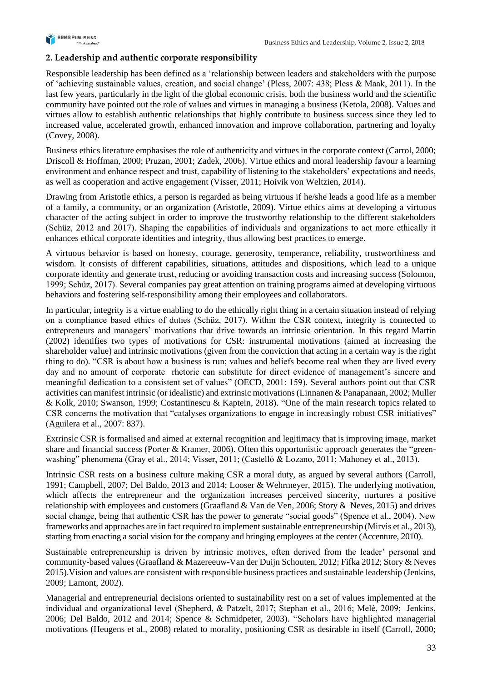

#### **2. Leadership and authentic corporate responsibility**

Responsible leadership has been defined as a 'relationship between leaders and stakeholders with the purpose of 'achieving sustainable values, creation, and social change' (Pless, 2007: 438; Pless & Maak, 2011). In the last few years, particularly in the light of the global economic crisis, both the business world and the scientific community have pointed out the role of values and virtues in managing a business (Ketola, 2008). Values and virtues allow to establish authentic relationships that highly contribute to business success since they led to increased value, accelerated growth, enhanced innovation and improve collaboration, partnering and loyalty (Covey, 2008).

Business ethics literature emphasises the role of authenticity and virtues in the corporate context (Carrol, 2000; Driscoll & Hoffman, 2000; Pruzan, 2001; Zadek, 2006). Virtue ethics and moral leadership favour a learning environment and enhance respect and trust, capability of listening to the stakeholders' expectations and needs, as well as cooperation and active engagement (Visser, 2011; Hoivik von Weltzien, 2014).

Drawing from Aristotle ethics, a person is regarded as being virtuous if he/she leads a good life as a member of a family, a community, or an organization (Aristotle, 2009). Virtue ethics aims at developing a virtuous character of the acting subject in order to improve the trustworthy relationship to the different stakeholders (Schüz, 2012 and 2017). Shaping the capabilities of individuals and organizations to act more ethically it enhances ethical corporate identities and integrity, thus allowing best practices to emerge.

A virtuous behavior is based on honesty, courage, generosity, temperance, reliability, trustworthiness and wisdom. It consists of different capabilities, situations, attitudes and dispositions, which lead to a unique corporate identity and generate trust, reducing or avoiding transaction costs and increasing success (Solomon, 1999; Schüz, 2017). Several companies pay great attention on training programs aimed at developing virtuous behaviors and fostering self-responsibility among their employees and collaborators.

In particular, integrity is a virtue enabling to do the ethically right thing in a certain situation instead of relying on a compliance based ethics of duties (Schüz, 2017). Within the CSR context, integrity is connected to entrepreneurs and managers' motivations that drive towards an intrinsic orientation. In this regard Martin (2002) identifies two types of motivations for CSR: instrumental motivations (aimed at increasing the shareholder value) and intrinsic motivations (given from the conviction that acting in a certain way is the right thing to do). "CSR is about how a business is run; values and beliefs become real when they are lived every day and no amount of corporate rhetoric can substitute for direct evidence of management's sincere and meaningful dedication to a consistent set of values" (OECD, 2001: 159). Several authors point out that CSR activities can manifest intrinsic (or idealistic) and extrinsic motivations (Linnanen & Panapanaan, 2002; Muller & Kolk, 2010; Swanson, 1999; Costantinescu & Kaptein, 2018). "One of the main research topics related to CSR concerns the motivation that "catalyses organizations to engage in increasingly robust CSR initiatives" (Aguilera et al., 2007: 837).

Extrinsic CSR is formalised and aimed at external recognition and legitimacy that is improving image, market share and financial success (Porter & Kramer, 2006). Often this opportunistic approach generates the "greenwashing" phenomena (Gray et al., 2014; Visser, 2011; (Castelló & Lozano, 2011; Mahoney et al., 2013).

Intrinsic CSR rests on a business culture making CSR a moral duty, as argued by several authors (Carroll, 1991; Campbell, 2007; Del Baldo, 2013 and 2014; Looser & Wehrmeyer, 2015). The underlying motivation, which affects the entrepreneur and the organization increases perceived sincerity, nurtures a positive relationship with employees and customers (Graafland & Van de Ven, 2006; Story & Neves, 2015) and drives social change, being that authentic CSR has the power to generate "social goods" (Spence et al., 2004). New frameworks and approaches are in fact required to implement sustainable entrepreneurship (Mirvis et al., 2013), starting from enacting a social vision for the company and bringing employees at the center (Accenture, 2010).

Sustainable entrepreneurship is driven by intrinsic motives, often derived from the leader' personal and community-based values (Graafland & Mazereeuw-Van der Duijn Schouten, 2012; Fifka 2012; Story & Neves 2015).Vision and values are consistent with responsible business practices and sustainable leadership (Jenkins, 2009; Lamont, 2002).

Managerial and entrepreneurial decisions oriented to sustainability rest on a set of values implemented at the individual and organizational level (Shepherd, & Patzelt, 2017; Stephan et al., 2016; Melé, 2009; Jenkins, 2006; Del Baldo, 2012 and 2014; Spence & Schmidpeter, 2003). "Scholars have highlighted managerial motivations (Heugens et al., 2008) related to morality, positioning CSR as desirable in itself (Carroll, 2000;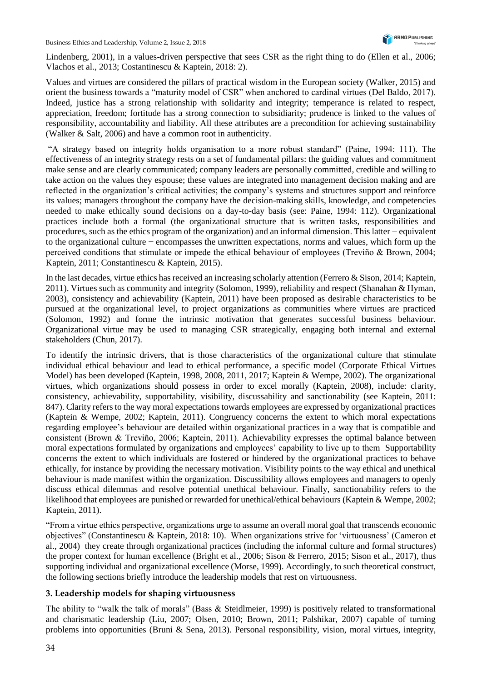Lindenberg, 2001), in a values-driven perspective that sees CSR as the right thing to do (Ellen et al., 2006; Vlachos et al., 2013; Costantinescu & Kaptein, 2018: 2).

Values and virtues are considered the pillars of practical wisdom in the European society (Walker, 2015) and orient the business towards a "maturity model of CSR" when anchored to cardinal virtues (Del Baldo, 2017). Indeed, justice has a strong relationship with solidarity and integrity; temperance is related to respect, appreciation, freedom; fortitude has a strong connection to subsidiarity; prudence is linked to the values of responsibility, accountability and liability. All these attributes are a precondition for achieving sustainability (Walker & Salt, 2006) and have a common root in authenticity.

"A strategy based on integrity holds organisation to a more robust standard" (Paine, 1994: 111). The effectiveness of an integrity strategy rests on a set of fundamental pillars: the guiding values and commitment make sense and are clearly communicated; company leaders are personally committed, credible and willing to take action on the values they espouse; these values are integrated into management decision making and are reflected in the organization's critical activities; the company's systems and structures support and reinforce its values; managers throughout the company have the decision-making skills, knowledge, and competencies needed to make ethically sound decisions on a day-to-day basis (see: Paine, 1994: 112). Organizational practices include both a formal (the organizational structure that is written tasks, responsibilities and procedures, such as the ethics program of the organization) and an informal dimension. This latter − equivalent to the organizational culture − encompasses the unwritten expectations, norms and values, which form up the perceived conditions that stimulate or impede the ethical behaviour of employees (Treviño & Brown, 2004; Kaptein, 2011; Constantinescu & Kaptein, 2015).

In the last decades, virtue ethics has received an increasing scholarly attention (Ferrero & Sison, 2014; Kaptein, 2011). Virtues such as community and integrity (Solomon, 1999), reliability and respect (Shanahan & Hyman, 2003), consistency and achievability (Kaptein, 2011) have been proposed as desirable characteristics to be pursued at the organizational level, to project organizations as communities where virtues are practiced (Solomon, 1992) and forme the intrinsic motivation that generates successful business behaviour. Organizational virtue may be used to managing CSR strategically, engaging both internal and external stakeholders (Chun, 2017).

To identify the intrinsic drivers, that is those characteristics of the organizational culture that stimulate individual ethical behaviour and lead to ethical performance, a specific model (Corporate Ethical Virtues Model) has been developed (Kaptein, 1998, 2008, 2011, 2017; Kaptein & Wempe, 2002). The organizational virtues, which organizations should possess in order to excel morally (Kaptein, 2008), include: clarity, consistency, achievability, supportability, visibility, discussability and sanctionability (see Kaptein, 2011: 847). Clarity refers to the way moral expectations towards employees are expressed by organizational practices (Kaptein & Wempe, 2002; Kaptein, 2011). Congruency concerns the extent to which moral expectations regarding employee's behaviour are detailed within organizational practices in a way that is compatible and consistent (Brown & Treviño, 2006; Kaptein, 2011). Achievability expresses the optimal balance between moral expectations formulated by organizations and employees' capability to live up to them Supportability concerns the extent to which individuals are fostered or hindered by the organizational practices to behave ethically, for instance by providing the necessary motivation. Visibility points to the way ethical and unethical behaviour is made manifest within the organization. Discussibility allows employees and managers to openly discuss ethical dilemmas and resolve potential unethical behaviour. Finally, sanctionability refers to the likelihood that employees are punished or rewarded for unethical/ethical behaviours (Kaptein & Wempe, 2002; Kaptein, 2011).

"From a virtue ethics perspective, organizations urge to assume an overall moral goal that transcends economic objectives" (Constantinescu & Kaptein, 2018: 10). When organizations strive for 'virtuousness' (Cameron et al., 2004) they create through organizational practices (including the informal culture and formal structures) the proper context for human excellence (Bright et al., 2006; Sison & Ferrero, 2015; Sison et al., 2017), thus supporting individual and organizational excellence (Morse, 1999). Accordingly, to such theoretical construct, the following sections briefly introduce the leadership models that rest on virtuousness.

#### **3. Leadership models for shaping virtuousness**

The ability to "walk the talk of morals" (Bass & Steidlmeier, 1999) is positively related to transformational and charismatic leadership (Liu, 2007; Olsen, 2010; Brown, 2011; Palshikar, 2007) capable of turning problems into opportunities (Bruni & Sena, 2013). Personal responsibility, vision, moral virtues, integrity,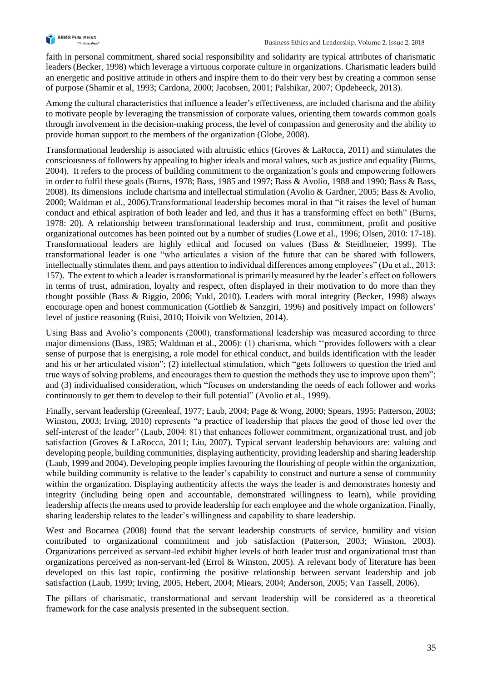

faith in personal commitment, shared social responsibility and solidarity are typical attributes of charismatic leaders (Becker, 1998) which leverage a virtuous corporate culture in organizations. Charismatic leaders build an energetic and positive attitude in others and inspire them to do their very best by creating a common sense of purpose (Shamir et al, 1993; Cardona, 2000; Jacobsen, 2001; Palshikar, 2007; Opdebeeck, 2013).

Among the cultural characteristics that influence a leader's effectiveness, are included charisma and the ability to motivate people by leveraging the transmission of corporate values, orienting them towards common goals through involvement in the decision-making process, the level of compassion and generosity and the ability to provide human support to the members of the organization (Globe, 2008).

Transformational leadership is associated with altruistic ethics (Groves & LaRocca, 2011) and stimulates the consciousness of followers by appealing to higher ideals and moral values, such as justice and equality (Burns, 2004). It refers to the process of building commitment to the organization's goals and empowering followers in order to fulfil these goals (Burns, 1978; Bass, 1985 and 1997; Bass & Avolio, 1988 and 1990; Bass & Bass, 2008). Its dimensions include charisma and intellectual stimulation (Avolio & Gardner, 2005; Bass & Avolio, 2000; Waldman et al., 2006).Transformational leadership becomes moral in that "it raises the level of human conduct and ethical aspiration of both leader and led, and thus it has a transforming effect on both" (Burns, 1978: 20). A relationship between transformational leadership and trust, commitment, profit and positive organizational outcomes has been pointed out by a number of studies (Lowe et al., 1996; Olsen, 2010: 17-18). Transformational leaders are highly ethical and focused on values (Bass & Steidlmeier, 1999). The transformational leader is one "who articulates a vision of the future that can be shared with followers, intellectually stimulates them, and pays attention to individual differences among employees" (Du et al., 2013: 157). The extent to which a leader is transformational is primarily measured by the leader's effect on followers in terms of trust, admiration, loyalty and respect, often displayed in their motivation to do more than they thought possible (Bass & Riggio, 2006; Yukl, 2010). Leaders with moral integrity (Becker, 1998) always encourage open and honest communication (Gottlieb & Sanzgiri, 1996) and positively impact on followers' level of justice reasoning (Ruisi, 2010; Hoivik von Weltzien, 2014).

Using Bass and Avolio's components (2000), transformational leadership was measured according to three major dimensions (Bass, 1985; Waldman et al., 2006): (1) charisma, which ''provides followers with a clear sense of purpose that is energising, a role model for ethical conduct, and builds identification with the leader and his or her articulated vision"; (2) intellectual stimulation, which "gets followers to question the tried and true ways of solving problems, and encourages them to question the methods they use to improve upon them"; and (3) individualised consideration, which "focuses on understanding the needs of each follower and works continuously to get them to develop to their full potential" (Avolio et al., 1999).

Finally, servant leadership (Greenleaf, 1977; Laub, 2004; Page & Wong, 2000; Spears, 1995; Patterson, 2003; Winston, 2003; Irving, 2010) represents "a practice of leadership that places the good of those led over the self-interest of the leader" (Laub, 2004: 81) that enhances follower commitment, organizational trust, and job satisfaction (Groves & LaRocca, 2011; Liu, 2007). Typical servant leadership behaviours are: valuing and developing people, building communities, displaying authenticity, providing leadership and sharing leadership (Laub, 1999 and 2004). Developing people implies favouring the flourishing of people within the organization, while building community is relative to the leader's capability to construct and nurture a sense of community within the organization. Displaying authenticity affects the ways the leader is and demonstrates honesty and integrity (including being open and accountable, demonstrated willingness to learn), while providing leadership affects the means used to provide leadership for each employee and the whole organization. Finally, sharing leadership relates to the leader's willingness and capability to share leadership.

West and Bocarnea (2008) found that the servant leadership constructs of service, humility and vision contributed to organizational commitment and job satisfaction (Patterson, 2003; Winston, 2003). Organizations perceived as servant-led exhibit higher levels of both leader trust and organizational trust than organizations perceived as non-servant-led (Errol & Winston, 2005). A relevant body of literature has been developed on this last topic, confirming the positive relationship between servant leadership and job satisfaction (Laub, 1999; Irving, 2005, Hebert, 2004; Miears, 2004; Anderson, 2005; Van Tassell, 2006).

The pillars of charismatic, transformational and servant leadership will be considered as a theoretical framework for the case analysis presented in the subsequent section.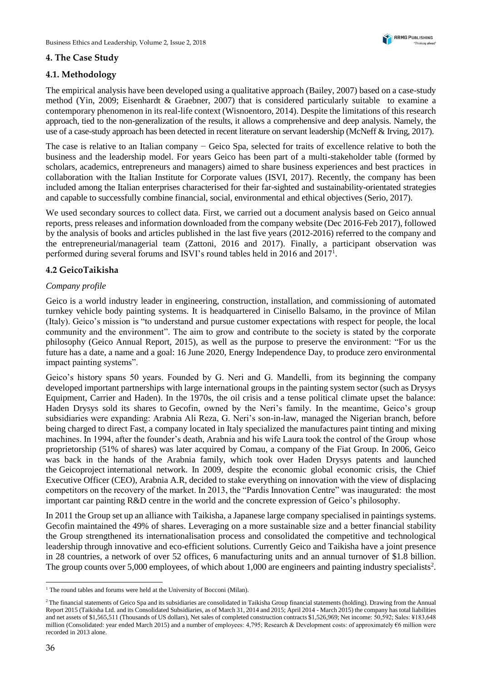### **4. The Case Study**

## **4.1. Methodology**

The empirical analysis have been developed using a qualitative approach (Bailey, 2007) based on a case-study method (Yin, 2009; Eisenhardt & Graebner, 2007) that is considered particularly suitable to examine a contemporary phenomenon in its real-life context (Wisnoentoro, 2014). Despite the limitations of this research approach, tied to the non-generalization of the results, it allows a comprehensive and deep analysis. Namely, the use of a case-study approach has been detected in recent literature on servant leadership (McNeff & Irving, 2017).

The case is relative to an Italian company − Geico Spa, selected for traits of excellence relative to both the business and the leadership model. For years Geico has been part of a multi-stakeholder table (formed by scholars, academics, entrepreneurs and managers) aimed to share business experiences and best practices in collaboration with the Italian Institute for Corporate values (ISVI, 2017). Recently, the company has been included among the Italian enterprises characterised for their far-sighted and sustainability-orientated strategies and capable to successfully combine financial, social, environmental and ethical objectives (Serio, 2017).

We used secondary sources to collect data. First, we carried out a document analysis based on Geico annual reports, press releases and information downloaded from the company website (Dec 2016-Feb 2017), followed by the analysis of books and articles published in the last five years (2012-2016) referred to the company and the entrepreneurial/managerial team (Zattoni, 2016 and 2017). Finally, a participant observation was performed during several forums and ISVI's round tables held in 2016 and 2017<sup>1</sup>.

## **4.2 GeicoTaikisha**

#### *Company profile*

Geico is a world industry leader in engineering, construction, installation, and commissioning of automated turnkey vehicle body painting systems. It is headquartered in Cinisello Balsamo, in the province of Milan (Italy). Geico's mission is "to understand and pursue customer expectations with respect for people, the local community and the environment". The aim to grow and contribute to the society is stated by the corporate philosophy (Geico Annual Report, 2015), as well as the purpose to preserve the environment: "For us the future has a date, a name and a goal: 16 June 2020, Energy Independence Day, to produce zero environmental impact painting systems".

Geico's history spans 50 years. Founded by G. Neri and G. Mandelli, from its beginning the company developed important partnerships with large international groups in the painting system sector (such as Drysys Equipment, Carrier and Haden). In the 1970s, the oil crisis and a tense political climate upset the balance: Haden Drysys sold its shares to Gecofin, owned by the Neri's family. In the meantime, Geico's group subsidiaries were expanding: Arabnia Ali Reza, G. Neri's son-in-law, managed the Nigerian branch, before being charged to direct Fast, a company located in Italy specialized the manufactures paint tinting and mixing machines. In 1994, after the founder's death, Arabnia and his wife Laura took the control of the Group whose proprietorship (51% of shares) was later acquired by Comau, a company of the Fiat Group. In 2006, Geico was back in the hands of the Arabnia family, which took over Haden Drysys patents and launched the Geicoproject international network. In 2009, despite the economic global economic crisis, the Chief Executive Officer (CEO), Arabnia A.R, decided to stake everything on innovation with the view of displacing competitors on the recovery of the market. In 2013, the "Pardis Innovation Centre" was inaugurated: the most important car painting R&D centre in the world and the concrete expression of Geico's philosophy.

In 2011 the Group set up an alliance with Taikisha, a Japanese large company specialised in paintings systems. Gecofin maintained the 49% of shares. Leveraging on a more sustainable size and a better financial stability the Group strengthened its internationalisation process and consolidated the competitive and technological leadership through innovative and eco-efficient solutions. Currently Geico and Taikisha have a joint presence in 28 countries, a network of over 52 offices, 6 manufacturing units and an annual turnover of \$1.8 billion. The group counts over  $5,000$  employees, of which about 1,000 are engineers and painting industry specialists<sup>2</sup>.

<sup>-</sup><sup>1</sup> The round tables and forums were held at the University of Bocconi (Milan).

<sup>&</sup>lt;sup>2</sup>The financial statements of Geico Spa and its subsidiaries are consolidated in Taikisha Group financial statements (holding). Drawing from the Annual Report 2015 (Taikisha Ltd. and its Consolidated Subsidiaries, as of March 31, 2014 and 2015; April 2014 - March 2015) the company has total liabilities and net assets of \$1,565,511 (Thousands of US dollars), Net sales of completed construction contracts \$1,526,969; Net income: 50,592; Sales: ¥183,648 million (Consolidated: year ended March 2015) and a number of employees: 4,795; Research & Development costs: of approximately €6 million were recorded in 2013 alone.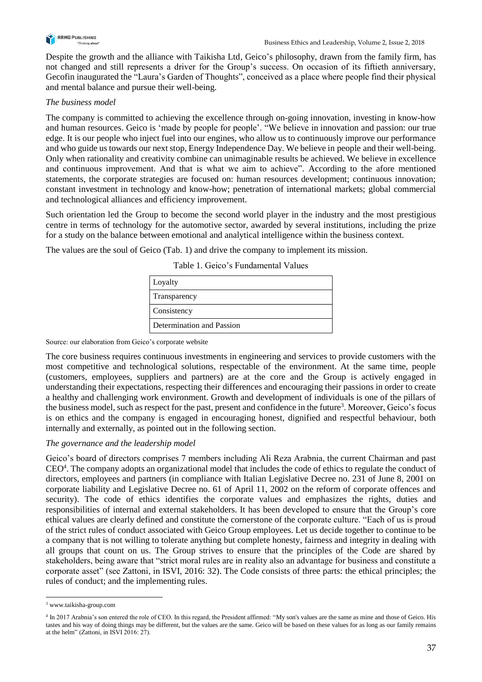

Despite the growth and the alliance with Taikisha Ltd, Geico's philosophy, drawn from the family firm, has not changed and still represents a driver for the Group's success. On occasion of its fiftieth anniversary, Gecofin inaugurated the "Laura's Garden of Thoughts", conceived as a place where people find their physical and mental balance and pursue their well-being.

#### *The business model*

The company is committed to achieving the excellence through on-going innovation, investing in know-how and human resources. Geico is 'made by people for people'. "We believe in innovation and passion: our true edge. It is our people who inject fuel into our engines, who allow us to continuously improve our performance and who guide us towards our next stop, Energy Independence Day. We believe in people and their well-being. Only when rationality and creativity combine can unimaginable results be achieved. We believe in excellence and continuous improvement. And that is what we aim to achieve". According to the afore mentioned statements, the corporate strategies are focused on: human resources development; continuous innovation; constant investment in technology and know-how; penetration of international markets; global commercial and technological alliances and efficiency improvement.

Such orientation led the Group to become the second world player in the industry and the most prestigious centre in terms of technology for the automotive sector, awarded by several institutions, including the prize for a study on the balance between emotional and analytical intelligence within the business context.

The values are the soul of Geico (Tab. 1) and drive the company to implement its mission.

| Loyalty                   |
|---------------------------|
| Transparency              |
| Consistency               |
| Determination and Passion |

Table 1. Geico's Fundamental Values

#### Source: our elaboration from Geico's corporate website

The core business requires continuous investments in engineering and services to provide customers with the most competitive and technological solutions, respectable of the environment. At the same time, people (customers, employees, suppliers and partners) are at the core and the Group is actively engaged in understanding their expectations, respecting their differences and encouraging their passions in order to create a healthy and challenging work environment. Growth and development of individuals is one of the pillars of the business model, such as respect for the past, present and confidence in the future<sup>3</sup>. Moreover, Geico's focus is on ethics and the company is engaged in encouraging honest, dignified and respectful behaviour, both internally and externally, as pointed out in the following section.

#### *The governance and the leadership model*

Geico's board of directors comprises 7 members including Ali Reza Arabnia, the current Chairman and past CEO<sup>4</sup>. The company adopts an organizational model that includes the code of ethics to regulate the conduct of directors, employees and partners (in compliance with Italian Legislative Decree no. 231 of June 8, 2001 on corporate liability and Legislative Decree no. 61 of April 11, 2002 on the reform of corporate offences and security). The code of ethics identifies the corporate values and emphasizes the rights, duties and responsibilities of internal and external stakeholders. It has been developed to ensure that the Group's core ethical values are clearly defined and constitute the cornerstone of the corporate culture. "Each of us is proud of the strict rules of conduct associated with Geico Group employees. Let us decide together to continue to be a company that is not willing to tolerate anything but complete honesty, fairness and integrity in dealing with all groups that count on us. The Group strives to ensure that the principles of the Code are shared by stakeholders, being aware that "strict moral rules are in reality also an advantage for business and constitute a corporate asset" (see Zattoni, in ISVI, 2016: 32). The Code consists of three parts: the ethical principles; the rules of conduct; and the implementing rules.

-

<sup>3</sup> [www.taikisha-group.com](http://www.taikisha-group.com/ir/index.html)

<sup>4</sup> In 2017 Arabnia's son entered the role of CEO. In this regard, the President affirmed: "My son's values are the same as mine and those of Geico. His tastes and his way of doing things may be different, but the values are the same. Geico will be based on these values for as long as our family remains at the helm" (Zattoni, in ISVI 2016: 27).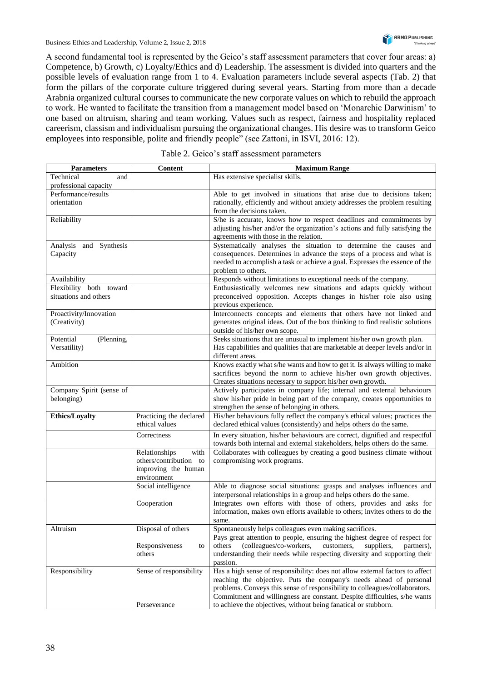A second fundamental tool is represented by the Geico's staff assessment parameters that cover four areas: a) Competence, b) Growth, c) Loyalty/Ethics and d) Leadership. The assessment is divided into quarters and the possible levels of evaluation range from 1 to 4. Evaluation parameters include several aspects (Tab. 2) that form the pillars of the corporate culture triggered during several years. Starting from more than a decade Arabnia organized cultural courses to communicate the new corporate values on which to rebuild the approach to work. He wanted to facilitate the transition from a management model based on 'Monarchic Darwinism' to one based on altruism, sharing and team working. Values such as respect, fairness and hospitality replaced careerism, classism and individualism pursuing the organizational changes. His desire was to transform Geico employees into responsible, polite and friendly people" (see Zattoni, in ISVI, 2016: 12).

| <b>Parameters</b>        | Content                 | <b>Maximum Range</b>                                                          |  |  |
|--------------------------|-------------------------|-------------------------------------------------------------------------------|--|--|
| Technical<br>and         |                         | Has extensive specialist skills.                                              |  |  |
| professional capacity    |                         |                                                                               |  |  |
| Performance/results      |                         | Able to get involved in situations that arise due to decisions taken;         |  |  |
| orientation              |                         | rationally, efficiently and without anxiety addresses the problem resulting   |  |  |
|                          |                         | from the decisions taken.                                                     |  |  |
| Reliability              |                         | S/he is accurate, knows how to respect deadlines and commitments by           |  |  |
|                          |                         | adjusting his/her and/or the organization's actions and fully satisfying the  |  |  |
|                          |                         | agreements with those in the relation.                                        |  |  |
| Analysis and Synthesis   |                         | Systematically analyses the situation to determine the causes and             |  |  |
| Capacity                 |                         | consequences. Determines in advance the steps of a process and what is        |  |  |
|                          |                         | needed to accomplish a task or achieve a goal. Expresses the essence of the   |  |  |
|                          |                         | problem to others.                                                            |  |  |
| Availability             |                         | Responds without limitations to exceptional needs of the company.             |  |  |
| Flexibility both toward  |                         | Enthusiastically welcomes new situations and adapts quickly without           |  |  |
| situations and others    |                         | preconceived opposition. Accepts changes in his/her role also using           |  |  |
|                          |                         | previous experience.                                                          |  |  |
| Proactivity/Innovation   |                         | Interconnects concepts and elements that others have not linked and           |  |  |
| (Creativity)             |                         | generates original ideas. Out of the box thinking to find realistic solutions |  |  |
|                          |                         | outside of his/her own scope.                                                 |  |  |
| Potential<br>(Plenning,  |                         | Seeks situations that are unusual to implement his/her own growth plan.       |  |  |
| Versatility)             |                         | Has capabilities and qualities that are marketable at deeper levels and/or in |  |  |
|                          |                         | different areas.                                                              |  |  |
| Ambition                 |                         | Knows exactly what s/he wants and how to get it. Is always willing to make    |  |  |
|                          |                         | sacrifices beyond the norm to achieve his/her own growth objectives.          |  |  |
|                          |                         | Creates situations necessary to support his/her own growth.                   |  |  |
| Company Spirit (sense of |                         | Actively participates in company life; internal and external behaviours       |  |  |
| belonging)               |                         | show his/her pride in being part of the company, creates opportunities to     |  |  |
|                          |                         | strengthen the sense of belonging in others.                                  |  |  |
| <b>Ethics/Loyalty</b>    | Practicing the declared | His/her behaviours fully reflect the company's ethical values; practices the  |  |  |
|                          | ethical values          | declared ethical values (consistently) and helps others do the same.          |  |  |
|                          | Correctness             | In every situation, his/her behaviours are correct, dignified and respectful  |  |  |
|                          |                         | towards both internal and external stakeholders, helps others do the same.    |  |  |
|                          | Relationships<br>with   | Collaborates with colleagues by creating a good business climate without      |  |  |
|                          | others/contribution to  | compromising work programs.                                                   |  |  |
|                          | improving the human     |                                                                               |  |  |
|                          | environment             |                                                                               |  |  |
|                          | Social intelligence     | Able to diagnose social situations: grasps and analyses influences and        |  |  |
|                          |                         | interpersonal relationships in a group and helps others do the same.          |  |  |
|                          | Cooperation             | Integrates own efforts with those of others, provides and asks for            |  |  |
|                          |                         | information, makes own efforts available to others; invites others to do the  |  |  |
|                          |                         | same.                                                                         |  |  |
| Altruism                 | Disposal of others      | Spontaneously helps colleagues even making sacrifices.                        |  |  |
|                          |                         | Pays great attention to people, ensuring the highest degree of respect for    |  |  |
|                          | Responsiveness<br>to    | (colleagues/co-workers,<br>others<br>customers,<br>suppliers,<br>partners),   |  |  |
|                          | others                  | understanding their needs while respecting diversity and supporting their     |  |  |
|                          |                         | passion.                                                                      |  |  |
| Responsibility           | Sense of responsibility | Has a high sense of responsibility: does not allow external factors to affect |  |  |
|                          |                         | reaching the objective. Puts the company's needs ahead of personal            |  |  |
|                          |                         | problems. Conveys this sense of responsibility to colleagues/collaborators.   |  |  |
|                          |                         | Commitment and willingness are constant. Despite difficulties, s/he wants     |  |  |
|                          | Perseverance            | to achieve the objectives, without being fanatical or stubborn.               |  |  |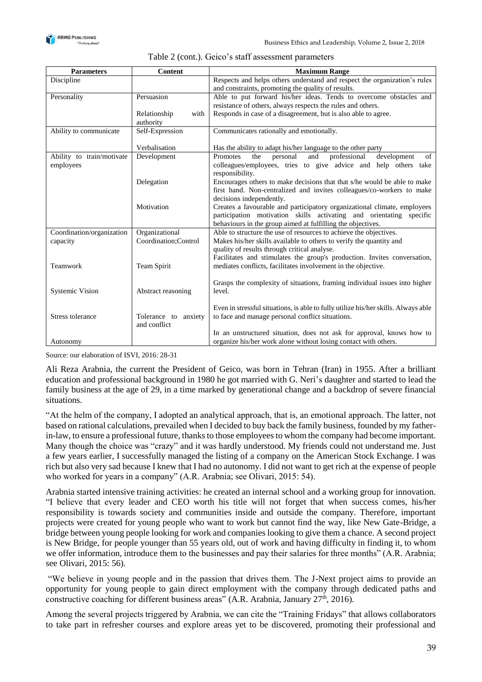

| Content              | <b>Maximum Range</b>                                                                                                                                             |  |  |  |
|----------------------|------------------------------------------------------------------------------------------------------------------------------------------------------------------|--|--|--|
|                      | Respects and helps others understand and respect the organization's rules                                                                                        |  |  |  |
|                      | and constraints, promoting the quality of results.                                                                                                               |  |  |  |
| Persuasion           | Able to put forward his/her ideas. Tends to overcome obstacles and                                                                                               |  |  |  |
|                      | resistance of others, always respects the rules and others.                                                                                                      |  |  |  |
| with<br>Relationship | Responds in case of a disagreement, but is also able to agree.                                                                                                   |  |  |  |
| authority            |                                                                                                                                                                  |  |  |  |
| Self-Expression      | Communicates rationally and emotionally.                                                                                                                         |  |  |  |
|                      |                                                                                                                                                                  |  |  |  |
|                      | Has the ability to adapt his/her language to the other party                                                                                                     |  |  |  |
|                      | development<br>Promotes<br>the<br>personal<br>and<br>professional<br>of                                                                                          |  |  |  |
|                      | colleagues/employees, tries to give advice and help others take                                                                                                  |  |  |  |
|                      | responsibility.                                                                                                                                                  |  |  |  |
|                      | Encourages others to make decisions that that s/he would be able to make                                                                                         |  |  |  |
|                      | first hand. Non-centralized and invites colleagues/co-workers to make                                                                                            |  |  |  |
|                      | decisions independently.                                                                                                                                         |  |  |  |
|                      | Creates a favourable and participatory organizational climate, employees                                                                                         |  |  |  |
|                      | participation motivation skills activating and orientating specific                                                                                              |  |  |  |
|                      | behaviours in the group aimed at fulfilling the objectives.                                                                                                      |  |  |  |
|                      | Able to structure the use of resources to achieve the objectives.                                                                                                |  |  |  |
|                      | Makes his/her skills available to others to verify the quantity and<br>quality of results through critical analyse.                                              |  |  |  |
|                      | Facilitates and stimulates the group's production. Invites conversation,                                                                                         |  |  |  |
|                      | mediates conflicts, facilitates involvement in the objective.                                                                                                    |  |  |  |
|                      |                                                                                                                                                                  |  |  |  |
|                      | Grasps the complexity of situations, framing individual issues into higher                                                                                       |  |  |  |
|                      | level.                                                                                                                                                           |  |  |  |
|                      |                                                                                                                                                                  |  |  |  |
|                      | Even in stressful situations, is able to fully utilize his/her skills. Always able                                                                               |  |  |  |
|                      | to face and manage personal conflict situations.                                                                                                                 |  |  |  |
| and conflict         |                                                                                                                                                                  |  |  |  |
|                      | In an unstructured situation, does not ask for approval, knows how to                                                                                            |  |  |  |
|                      | organize his/her work alone without losing contact with others.                                                                                                  |  |  |  |
|                      | Verbalisation<br>Development<br>Delegation<br>Motivation<br>Organizational<br>Coordination; Control<br>Team Spirit<br>Abstract reasoning<br>Tolerance to anxiety |  |  |  |

| Table 2 (cont.). Geico's staff assessment parameters |  |  |  |  |
|------------------------------------------------------|--|--|--|--|
|------------------------------------------------------|--|--|--|--|

Source: our elaboration of ISVI, 2016: 28-31

Ali Reza Arabnia, the current the President of Geico, was born in Tehran (Iran) in 1955. After a brilliant education and professional background in 1980 he got married with G. Neri's daughter and started to lead the family business at the age of 29, in a time marked by generational change and a backdrop of severe financial situations.

"At the helm of the company, I adopted an analytical approach, that is, an emotional approach. The latter, not based on rational calculations, prevailed when I decided to buy back the family business, founded by my fatherin-law, to ensure a professional future, thanks to those employees to whom the company had become important. Many though the choice was "crazy" and it was hardly understood. My friends could not understand me. Just a few years earlier, I successfully managed the listing of a company on the American Stock Exchange. I was rich but also very sad because I knew that I had no autonomy. I did not want to get rich at the expense of people who worked for years in a company" (A.R. Arabnia; see Olivari, 2015: 54).

Arabnia started intensive training activities: he created an internal school and a working group for innovation. "I believe that every leader and CEO worth his title will not forget that when success comes, his/her responsibility is towards society and communities inside and outside the company. Therefore, important projects were created for young people who want to work but cannot find the way, like New Gate-Bridge, a bridge between young people looking for work and companies looking to give them a chance. A second project is New Bridge, for people younger than 55 years old, out of work and having difficulty in finding it, to whom we offer information, introduce them to the businesses and pay their salaries for three months" (A.R. Arabnia; see Olivari, 2015: 56).

"We believe in young people and in the passion that drives them. The J-Next project aims to provide an opportunity for young people to gain direct employment with the company through dedicated paths and constructive coaching for different business areas" (A.R. Arabnia, January  $27<sup>th</sup>$ , 2016).

Among the several projects triggered by Arabnia, we can cite the "Training Fridays" that allows collaborators to take part in refresher courses and explore areas yet to be discovered, promoting their professional and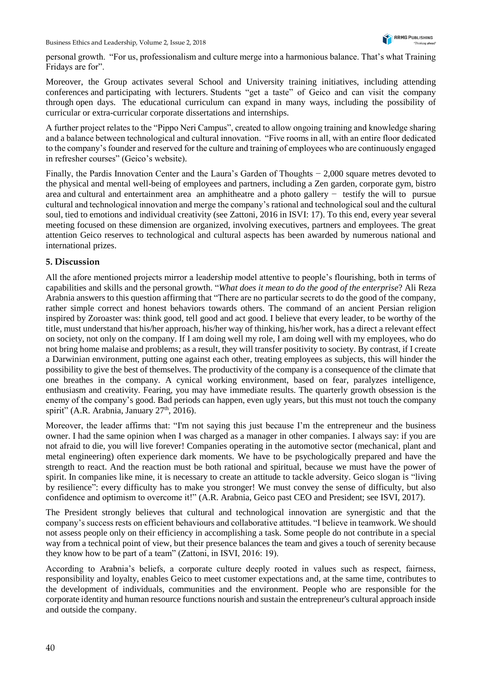personal growth. "For us, professionalism and culture merge into a harmonious balance. That's what Training Fridays are for".

Moreover, the Group activates several School and University training initiatives, including attending conferences and participating with lecturers. Students "get a taste" of Geico and can visit the company through open days. The educational curriculum can expand in many ways, including the possibility of curricular or extra-curricular corporate dissertations and internships.

A further project relates to the "Pippo Neri Campus", created to allow ongoing training and knowledge sharing and a balance between technological and cultural innovation. "Five rooms in all, with an entire floor dedicated to the company's founder and reserved for the culture and training of employees who are continuously engaged in refresher courses" (Geico's website).

Finally, the Pardis Innovation Center and the Laura's Garden of Thoughts − 2,000 square metres devoted to the physical and mental well-being of employees and partners, including a Zen garden, corporate gym, bistro area and cultural and entertainment area an amphitheatre and a photo gallery − testify the will to pursue cultural and technological innovation and merge the company's rational and technological soul and the cultural soul, tied to emotions and individual creativity (see Zattoni, 2016 in ISVI: 17). To this end, every year several meeting focused on these dimension are organized, involving executives, partners and employees. The great attention Geico reserves to technological and cultural aspects has been awarded by numerous national and international prizes.

#### **5. Discussion**

All the afore mentioned projects mirror a leadership model attentive to people's flourishing, both in terms of capabilities and skills and the personal growth. "*What does it mean to do the good of the enterprise*? Ali Reza Arabnia answers to this question affirming that "There are no particular secrets to do the good of the company, rather simple correct and honest behaviors towards others. The command of an ancient Persian religion inspired by Zoroaster was: think good, tell good and act good. I believe that every leader, to be worthy of the title, must understand that his/her approach, his/her way of thinking, his/her work, has a direct a relevant effect on society, not only on the company. If I am doing well my role, I am doing well with my employees, who do not bring home malaise and problems; as a result, they will transfer positivity to society. By contrast, if I create a Darwinian environment, putting one against each other, treating employees as subjects, this will hinder the possibility to give the best of themselves. The productivity of the company is a consequence of the climate that one breathes in the company. A cynical working environment, based on fear, paralyzes intelligence, enthusiasm and creativity. Fearing, you may have immediate results. The quarterly growth obsession is the enemy of the company's good. Bad periods can happen, even ugly years, but this must not touch the company spirit" (A.R. Arabnia, January 27<sup>th</sup>, 2016).

Moreover, the leader affirms that: "I'm not saying this just because I'm the entrepreneur and the business owner. I had the same opinion when I was charged as a manager in other companies. I always say: if you are not afraid to die, you will live forever! Companies operating in the automotive sector (mechanical, plant and metal engineering) often experience dark moments. We have to be psychologically prepared and have the strength to react. And the reaction must be both rational and spiritual, because we must have the power of spirit. In companies like mine, it is necessary to create an attitude to tackle adversity. Geico slogan is "living by resilience": every difficulty has to make you stronger! We must convey the sense of difficulty, but also confidence and optimism to overcome it!" (A.R. Arabnia, Geico past CEO and President; see ISVI, 2017).

The President strongly believes that cultural and technological innovation are synergistic and that the company's success rests on efficient behaviours and collaborative attitudes. "I believe in teamwork. We should not assess people only on their efficiency in accomplishing a task. Some people do not contribute in a special way from a technical point of view, but their presence balances the team and gives a touch of serenity because they know how to be part of a team" (Zattoni, in ISVI, 2016: 19).

According to Arabnia's beliefs, a corporate culture deeply rooted in values such as respect, fairness, responsibility and loyalty, enables Geico to meet customer expectations and, at the same time, contributes to the development of individuals, communities and the environment. People who are responsible for the corporate identity and human resource functions nourish and sustain the entrepreneur's cultural approach inside and outside the company.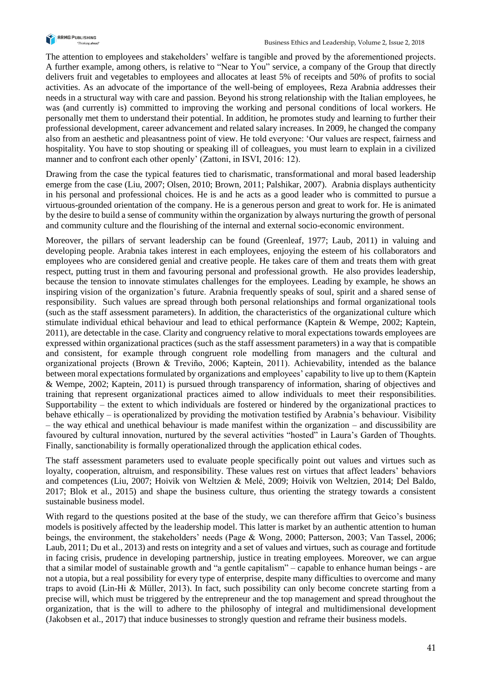

The attention to employees and stakeholders' welfare is tangible and proved by the aforementioned projects. A further example, among others, is relative to "Near to You" service, a company of the Group that directly delivers fruit and vegetables to employees and allocates at least 5% of receipts and 50% of profits to social activities. As an advocate of the importance of the well-being of employees, Reza Arabnia addresses their needs in a structural way with care and passion. Beyond his strong relationship with the Italian employees, he was (and currently is) committed to improving the working and personal conditions of local workers. He personally met them to understand their potential. In addition, he promotes study and learning to further their professional development, career advancement and related salary increases. In 2009, he changed the company also from an aesthetic and pleasantness point of view. He told everyone: 'Our values are respect, fairness and hospitality. You have to stop shouting or speaking ill of colleagues, you must learn to explain in a civilized manner and to confront each other openly' (Zattoni, in ISVI, 2016: 12).

Drawing from the case the typical features tied to charismatic, transformational and moral based leadership emerge from the case (Liu, 2007; Olsen, 2010; Brown, 2011; Palshikar, 2007). Arabnia displays authenticity in his personal and professional choices. He is and he acts as a good leader who is committed to pursue a virtuous-grounded orientation of the company. He is a generous person and great to work for. He is animated by the desire to build a sense of community within the organization by always nurturing the growth of personal and community culture and the flourishing of the internal and external socio-economic environment.

Moreover, the pillars of servant leadership can be found (Greenleaf, 1977; Laub, 2011) in valuing and developing people. Arabnia takes interest in each employees, enjoying the esteem of his collaborators and employees who are considered genial and creative people. He takes care of them and treats them with great respect, putting trust in them and favouring personal and professional growth. He also provides leadership, because the tension to innovate stimulates challenges for the employees. Leading by example, he shows an inspiring vision of the organization's future. Arabnia frequently speaks of soul, spirit and a shared sense of responsibility. Such values are spread through both personal relationships and formal organizational tools (such as the staff assessment parameters). In addition, the characteristics of the organizational culture which stimulate individual ethical behaviour and lead to ethical performance (Kaptein & Wempe, 2002; Kaptein, 2011), are detectable in the case. Clarity and congruency relative to moral expectations towards employees are expressed within organizational practices (such as the staff assessment parameters) in a way that is compatible and consistent, for example through congruent role modelling from managers and the cultural and organizational projects (Brown & Treviño, 2006; Kaptein, 2011). Achievability, intended as the balance between moral expectations formulated by organizations and employees' capability to live up to them (Kaptein & Wempe, 2002; Kaptein, 2011) is pursued through transparency of information, sharing of objectives and training that represent organizational practices aimed to allow individuals to meet their responsibilities. Supportability – the extent to which individuals are fostered or hindered by the organizational practices to behave ethically – is operationalized by providing the motivation testified by Arabnia's behaviour. Visibility – the way ethical and unethical behaviour is made manifest within the organization – and discussibility are favoured by cultural innovation, nurtured by the several activities "hosted" in Laura's Garden of Thoughts. Finally, sanctionability is formally operationalized through the application ethical codes.

The staff assessment parameters used to evaluate people specifically point out values and virtues such as loyalty, cooperation, altruism, and responsibility. These values rest on virtues that affect leaders' behaviors and competences (Liu, 2007; Hoivik von Weltzien & Melé, 2009; Hoivik von Weltzien, 2014; Del Baldo, 2017; Blok et al., 2015) and shape the business culture, thus orienting the strategy towards a consistent sustainable business model.

With regard to the questions posited at the base of the study, we can therefore affirm that Geico's business models is positively affected by the leadership model. This latter is market by an authentic attention to human beings, the environment, the stakeholders' needs (Page & Wong, 2000; Patterson, 2003; Van Tassel, 2006; Laub, 2011; Du et al., 2013) and rests on integrity and a set of values and virtues, such as courage and fortitude in facing crisis, prudence in developing partnership, justice in treating employees. Moreover, we can argue that a similar model of sustainable growth and "a gentle capitalism" – capable to enhance human beings - are not a utopia, but a real possibility for every type of enterprise, despite many difficulties to overcome and many traps to avoid (Lin-Hi & Müller, 2013). In fact, such possibility can only become concrete starting from a precise will, which must be triggered by the entrepreneur and the top management and spread throughout the organization, that is the will to adhere to the philosophy of integral and multidimensional development (Jakobsen et al., 2017) that induce businesses to strongly question and reframe their business models.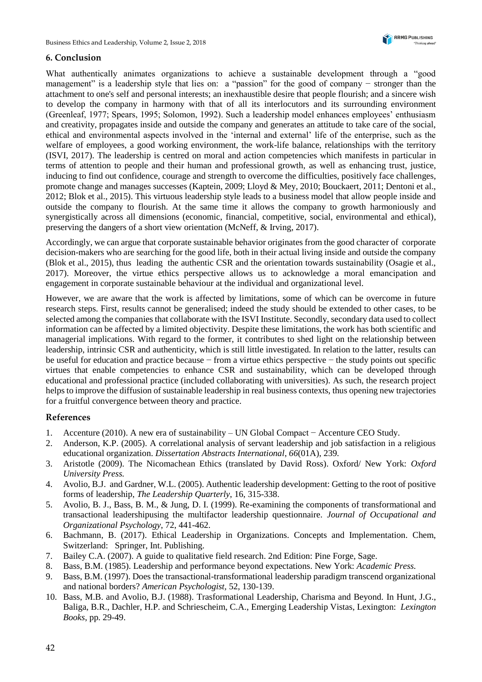### **6. Conclusion**

What authentically animates organizations to achieve a sustainable development through a "good management" is a leadership style that lies on: a "passion" for the good of company − stronger than the attachment to one's self and personal interests; an inexhaustible desire that people flourish; and a sincere wish to develop the company in harmony with that of all its interlocutors and its surrounding environment (Greenleaf, 1977; Spears, 1995; Solomon, 1992). Such a leadership model enhances employees' enthusiasm and creativity, propagates inside and outside the company and generates an attitude to take care of the social, ethical and environmental aspects involved in the 'internal and external' life of the enterprise, such as the welfare of employees, a good working environment, the work-life balance, relationships with the territory (ISVI, 2017). The leadership is centred on moral and action competencies which manifests in particular in terms of attention to people and their human and professional growth, as well as enhancing trust, justice, inducing to find out confidence, courage and strength to overcome the difficulties, positively face challenges, promote change and manages successes (Kaptein, 2009; Lloyd & Mey, 2010; Bouckaert, 2011; Dentoni et al., 2012; Blok et al., 2015). This virtuous leadership style leads to a business model that allow people inside and outside the company to flourish. At the same time it allows the company to growth harmoniously and synergistically across all dimensions (economic, financial, competitive, social, environmental and ethical), preserving the dangers of a short view orientation (McNeff, & Irving, 2017).

Accordingly, we can argue that corporate sustainable behavior originates from the good character of corporate decision-makers who are searching for the good life, both in their actual living inside and outside the company (Blok et al., 2015), thus leading the authentic CSR and the orientation towards sustainability (Osagie et al., 2017). Moreover, the virtue ethics perspective allows us to acknowledge a moral emancipation and engagement in corporate sustainable behaviour at the individual and organizational level.

However, we are aware that the work is affected by limitations, some of which can be overcome in future research steps. First, results cannot be generalised; indeed the study should be extended to other cases, to be selected among the companies that collaborate with the ISVI Institute. Secondly, secondary data used to collect information can be affected by a limited objectivity. Despite these limitations, the work has both scientific and managerial implications. With regard to the former, it contributes to shed light on the relationship between leadership, intrinsic CSR and authenticity, which is still little investigated. In relation to the latter, results can be useful for education and practice because − from a virtue ethics perspective − the study points out specific virtues that enable competencies to enhance CSR and sustainability, which can be developed through educational and professional practice (included collaborating with universities). As such, the research project helps to improve the diffusion of sustainable leadership in real business contexts, thus opening new trajectories for a fruitful convergence between theory and practice.

#### **References**

- 1. Accenture (2010). A new era of sustainability UN Global Compact − Accenture CEO Study.
- 2. Anderson, K.P. (2005). A correlational analysis of servant leadership and job satisfaction in a religious educational organization. *Dissertation Abstracts International*, *66*(01A), 239.
- 3. Aristotle (2009). The Nicomachean Ethics (translated by David Ross). Oxford/ New York: *Oxford University Press.*
- 4. Avolio, B.J. and Gardner, W.L. (2005). Authentic leadership development: Getting to the root of positive forms of leadership, *The Leadership Quarterly*, 16, 315-338.
- 5. Avolio, B. J., Bass, B. M., & Jung, D. I. (1999). Re-examining the components of transformational and transactional leadershipusing the multifactor leadership questionnaire. *Journal of Occupational and Organizational Psychology*, 72, 441-462.
- 6. Bachmann, B. (2017). Ethical Leadership in Organizations. Concepts and Implementation. Chem, Switzerland: Springer, Int. Publishing.
- 7. Bailey C.A. (2007). A guide to qualitative field research. 2nd Edition: Pine Forge, Sage.
- 8. Bass, B.M. (1985). Leadership and performance beyond expectations. New York: *Academic Press.*
- 9. Bass, B.M. (1997). Does the transactional-transformational leadership paradigm transcend organizational and national borders? *American Psychologist,* 52, 130-139.
- 10. Bass, M.B. and Avolio, B.J. (1988). Trasformational Leadership, Charisma and Beyond. In Hunt, J.G., Baliga, B.R., Dachler, H.P. and Schriescheim, C.A., Emerging Leadership Vistas, Lexington: *Lexington Books*, pp. 29-49.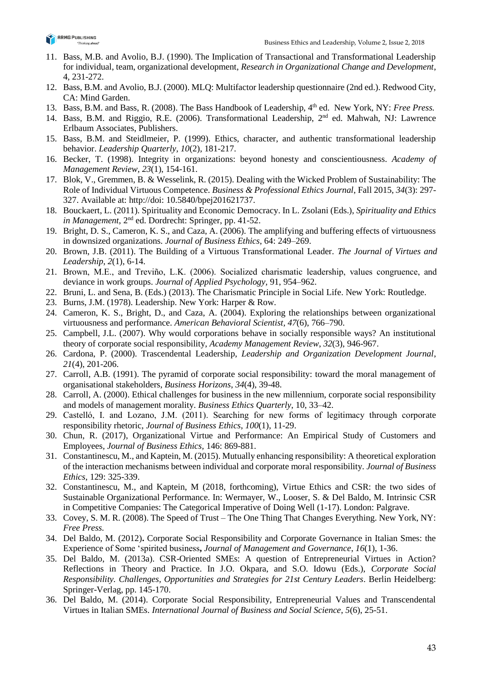

- 11. Bass, M.B. and Avolio, B.J. (1990). The Implication of Transactional and Transformational Leadership for individual, team, organizational development, *Research in Organizational Change and Development*, 4, 231-272.
- 12. Bass, B.M. and Avolio, B.J. (2000). MLQ: Multifactor leadership questionnaire (2nd ed.). Redwood City, CA: Mind Garden.
- 13. Bass, B.M. and Bass, R. (2008). The Bass Handbook of Leadership, 4<sup>th</sup> ed. New York, NY: *Free Press.*
- 14. Bass, B.M. and Riggio, R.E. (2006). Transformational Leadership, 2<sup>nd</sup> ed. Mahwah, NJ: Lawrence Erlbaum Associates, Publishers.
- 15. Bass, B.M. and Steidlmeier, P. (1999). Ethics, character, and authentic transformational leadership behavior. *Leadership Quarterly, 10*(2), 181-217.
- 16. Becker, T. (1998). Integrity in organizations: beyond honesty and conscientiousness. *Academy of Management Review, 23*(1), 154-161.
- 17. Blok, V., Gremmen, B. & Wesselink, R. (2015). Dealing with the Wicked Problem of Sustainability: The Role of Individual Virtuous Competence. *Business & Professional Ethics Journal*, Fall 2015, *34*(3): 297- 327. Available at: http://doi: 10.5840/bpej201621737.
- 18. Bouckaert, L. (2011). Spirituality and Economic Democracy. In L. Zsolani (Eds.), *Spirituality and Ethics in Management*, 2nd ed. Dordrecht: Springer, pp. 41-52.
- 19. Bright, D. S., Cameron, K. S., and Caza, A. (2006). The amplifying and buffering effects of virtuousness in downsized organizations. *Journal of Business Ethics*, 64: 249–269.
- 20. Brown, J.B. (2011). The Building of a Virtuous Transformational Leader. *The Journal of Virtues and Leadership*, *2*(1), 6-14.
- 21. Brown, M.E., and Treviño, L.K. (2006). Socialized charismatic leadership, values congruence, and deviance in work groups. *Journal of Applied Psychology,* 91, 954–962.
- 22. Bruni, L. and Sena, B. (Eds.) (2013). The Charismatic Principle in Social Life. New York: Routledge.
- 23. Burns, J.M. (1978). Leadership. New York: Harper & Row.
- 24. Cameron, K. S., Bright, D., and Caza, A. (2004). Exploring the relationships between organizational virtuousness and performance. *American Behavioral Scientist, 47*(6), 766–790.
- 25. Campbell, J.L. (2007). Why would corporations behave in socially responsible ways? An institutional theory of corporate social responsibility, *Academy Management Review*, *32*(3), 946-967.
- 26. Cardona, P. (2000). Trascendental Leadership, *Leadership and Organization Development Journal*, *21*(4), 201-206.
- 27. Carroll, A.B. (1991). The pyramid of corporate social responsibility: toward the moral management of organisational stakeholders, *Business Horizons*, *34*(4), 39-48.
- 28. Carroll, A. (2000). Ethical challenges for business in the new millennium, corporate social responsibility and models of management morality. *Business Ethics Quarterly*, 10, 33–42.
- 29. Castelló, I. and Lozano, J.M. (2011). Searching for new forms of legitimacy through corporate responsibility rhetoric, *Journal of Business Ethics*, *100*(1), 11-29.
- 30. Chun, R. (2017), Organizational Virtue and Performance: An Empirical Study of Customers and Employees*, Journal of Business Ethics,* 146: 869-881.
- 31. Constantinescu, M., and Kaptein, M. (2015). Mutually enhancing responsibility: A theoretical exploration of the interaction mechanisms between individual and corporate moral responsibility. *Journal of Business Ethics*, 129: 325-339.
- 32. Constantinescu, M., and Kaptein, M (2018, forthcoming), Virtue Ethics and CSR: the two sides of Sustainable Organizational Performance. In: Wermayer, W., Looser, S. & Del Baldo, M. Intrinsic CSR in Competitive Companies: The Categorical Imperative of Doing Well (1-17). London: Palgrave.
- 33. Covey, S. M. R. (2008). The Speed of Trust The One Thing That Changes Everything. New York, NY: *Free Press.*
- 34. Del Baldo, M. (2012)**.** Corporate Social Responsibility and Corporate Governance in Italian Smes: the Experience of Some 'spirited business**,** *Journal of Management and Governance*, *16*(1), 1-36.
- 35. Del Baldo, M. (2013a). CSR-Oriented SMEs: A question of Entrepreneurial Virtues in Action? Reflections in Theory and Practice. In J.O. Okpara, and S.O. Idowu (Eds.), *Corporate Social Responsibility. Challenges, Opportunities and Strategies for 21st Century Leaders*. Berlin Heidelberg: Springer-Verlag, pp. 145-170.
- 36. Del Baldo, M. (2014). Corporate Social Responsibility, Entrepreneurial Values and Transcendental Virtues in Italian SMEs. *International Journal of Business and Social Science*, *5*(6), 25-51.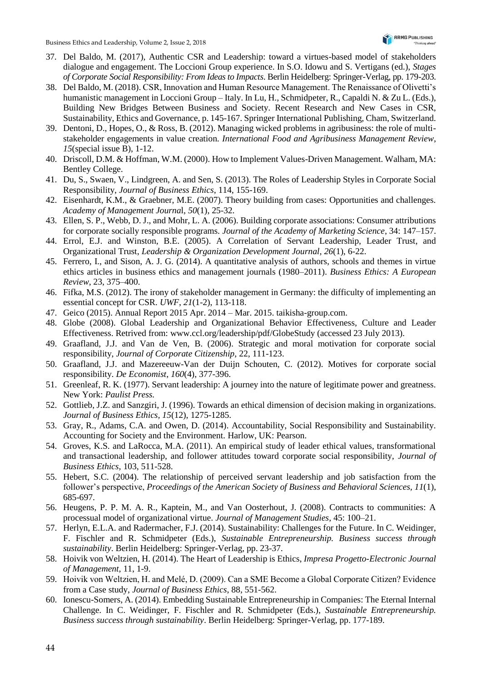- 37. Del Baldo, M. (2017), Authentic CSR and Leadership: toward a virtues-based model of stakeholders dialogue and engagement. The Loccioni Group experience. In S.O. Idowu and S. Vertigans (ed.), *Stages of Corporate Social Responsibility: From Ideas to Impacts*. Berlin Heidelberg: Springer-Verlag, pp. 179-203.
- 38. Del Baldo, M. (2018). CSR, Innovation and Human Resource Management. The Renaissance of Olivetti's humanistic management in Loccioni Group – Italy. In Lu, H., Schmidpeter, R., Capaldi N. & Zu L. (Eds.), Building New Bridges Between Business and Society. Recent Research and New Cases in CSR, Sustainability, Ethics and Governance, p. 145-167. Springer International Publishing, Cham, Switzerland.
- 39. Dentoni, D., Hopes, O., & Ross, B. (2012). Managing wicked problems in agribusiness: the role of multistakeholder engagements in value creation. *International Food and Agribusiness Management Review*, *15*(special issue B), 1-12.
- 40. Driscoll, D.M. & Hoffman, W.M. (2000). How to Implement Values-Driven Management. Walham, MA: Bentley College.
- 41. Du, S., Swaen, V., Lindgreen, A. and Sen, S. (2013). The Roles of Leadership Styles in Corporate Social Responsibility, *Journal of Business Ethics*, 114, 155-169.
- 42. Eisenhardt, K.M., & Graebner, M.E. (2007). Theory building from cases: Opportunities and challenges. *Academy of Management Journa*l, *50*(1), 25-32.
- 43. Ellen, S. P., Webb, D. J., and Mohr, L. A. (2006). Building corporate associations: Consumer attributions for corporate socially responsible programs. *Journal of the Academy of Marketing Science*, 34: 147–157.
- 44. Errol, E.J. and Winston, B.E. (2005). A Correlation of Servant Leadership, Leader Trust, and Organizational Trust, *Leadership & Organization Development Journal, 26*(1), 6-22.
- 45. Ferrero, I., and Sison, A. J. G. (2014). A quantitative analysis of authors, schools and themes in virtue ethics articles in business ethics and management journals (1980–2011). *Business Ethics: A European Review*, 23, 375–400.
- 46. Fifka, M.S. (2012). The irony of stakeholder management in Germany: the difficulty of implementing an essential concept for CSR. *UWF*, *21*(1-2), 113-118.
- 47. Geico (2015). Annual Report 2015 Apr. 2014 Mar. 2015. taikisha-group.com.
- 48. Globe (2008). Global Leadership and Organizational Behavior Effectiveness, Culture and Leader Effectiveness. Retrived from: www.ccl.org/leadership/pdf/GlobeStudy (accessed 23 July 2013).
- 49. Graafland, J.J. and Van de Ven, B. (2006). Strategic and moral motivation for corporate social responsibility, *Journal of Corporate Citizenship*, 22, 111-123.
- 50. Graafland, J.J. and Mazereeuw-Van der Duijn Schouten, C. (2012). Motives for corporate social responsibility. *De Economist*, *160*(4), 377-396.
- 51. Greenleaf, R. K. (1977). Servant leadership: A journey into the nature of legitimate power and greatness. New York: *Paulist Press.*
- 52. Gottlieb, J.Z. and Sanzgiri, J. (1996). Towards an ethical dimension of decision making in organizations. *Journal of Business Ethics, 15*(12), 1275-1285.
- 53. Gray, R., Adams, C.A. and Owen, D. (2014). Accountability, Social Responsibility and Sustainability. Accounting for Society and the Environment. Harlow, UK: Pearson.
- 54. Groves, K.S. and LaRocca, M.A. (2011). An empirical study of leader ethical values, transformational and transactional leadership, and follower attitudes toward corporate social responsibility, *Journal of Business Ethics*, 103, 511-528.
- 55. Hebert, S.C. (2004). The relationship of perceived servant leadership and job satisfaction from the follower's perspective, *Proceedings of the American Society of Business and Behavioral Sciences, 11*(1), 685-697.
- 56. Heugens, P. P. M. A. R., Kaptein, M., and Van Oosterhout, J. (2008). Contracts to communities: A processual model of organizational virtue. *Journal of Management Studies*, 45: 100–21.
- 57. Herlyn, E.L.A. and Radermacher, F.J. (2014). Sustainability: Challenges for the Future. In C. Weidinger, F. Fischler and R. Schmidpeter (Eds.), *Sustainable Entrepreneurship. Business success through sustainability*. Berlin Heidelberg: Springer-Verlag, pp. 23-37.
- 58. Hoivik von Weltzien, H. (2014). The Heart of Leadership is Ethics, *Impresa Progetto-Electronic Journal of Management*, 11, 1-9.
- 59. Hoivik von Weltzien, H. and Melé, D. (2009). Can a SME Become a Global Corporate Citizen? Evidence from a Case study, *Journal of Business Ethics*, 88, 551-562.
- 60. Ionescu-Somers, A. (2014). Embedding Sustainable Entrepreneurship in Companies: The Eternal Internal Challenge. In C. Weidinger, F. Fischler and R. Schmidpeter (Eds.), *Sustainable Entrepreneurship. Business success through sustainability*. Berlin Heidelberg: Springer-Verlag, pp. 177-189.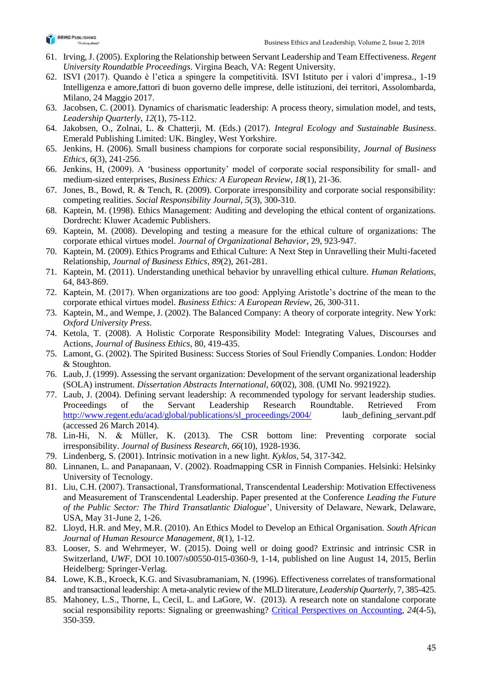

- 61. Irving, J. (2005). Exploring the Relationship between Servant Leadership and Team Effectiveness. *Regent University Roundatble Proceedings*. Virgina Beach, VA: Regent University.
- 62. ISVI (2017). Quando è l'etica a spingere la competitività. ISVI Istituto per i valori d'impresa., 1-19 Intelligenza e amore,fattori di buon governo delle imprese, delle istituzioni, dei territori, Assolombarda, Milano, 24 Maggio 2017.
- 63. Jacobsen, C. (2001). Dynamics of charismatic leadership: A process theory, simulation model, and tests, *Leadership Quarterly*, *12*(1), 75-112.
- 64. Jakobsen, O., Zolnai, L. & Chatterji, M. (Eds.) (2017). *Integral Ecology and Sustainable Business*. Emerald Publishing Limited: UK. Bingley, West Yorkshire.
- 65. Jenkins, H. (2006). Small business champions for corporate social responsibility, *Journal of Business Ethics*, *6*(3), 241-256.
- 66. Jenkins, H, (2009). A 'business opportunity' model of corporate social responsibility for small- and medium-sized enterprises, *Business Ethics: A European Review*, *18*(1), 21-36.
- 67. Jones, B., Bowd, R. & Tench, R. (2009). Corporate irresponsibility and corporate social responsibility: competing realities. *Social Responsibility Journal*, *5*(3), 300-310.
- 68. Kaptein, M. (1998). Ethics Management: Auditing and developing the ethical content of organizations. Dordrecht: Kluwer Academic Publishers.
- 69. Kaptein, M. (2008). Developing and testing a measure for the ethical culture of organizations: The corporate ethical virtues model. *Journal of Organizational Behavior*, 29, 923-947.
- 70. Kaptein, M. (2009). Ethics Programs and Ethical Culture: A Next Step in Unravelling their Multi-faceted Relationship, *Journal of Business Ethics*, *89*(2), 261-281.
- 71. Kaptein, M. (2011). Understanding unethical behavior by unravelling ethical culture. *Human Relations,* 64, 843-869.
- 72. Kaptein, M. (2017). When organizations are too good: Applying Aristotle's doctrine of the mean to the corporate ethical virtues model. *Business Ethics: A European Review*, 26, 300-311.
- 73. Kaptein, M., and Wempe, J. (2002). The Balanced Company: A theory of corporate integrity. New York: *Oxford University Press.*
- 74. Ketola, T. (2008). A Holistic Corporate Responsibility Model: Integrating Values, Discourses and Actions, *Journal of Business Ethics*, 80, 419-435.
- 75. Lamont, G. (2002). The Spirited Business: Success Stories of Soul Friendly Companies. London: Hodder & Stoughton.
- 76. Laub, J. (1999). Assessing the servant organization: Development of the servant organizational leadership (SOLA) instrument. *Dissertation Abstracts International, 60*(02), 308. (UMI No. 9921922).
- 77. Laub, J. (2004). Defining servant leadership: A recommended typology for servant leadership studies. Proceedings of the Servant Leadership Research Roundtable. Retrieved From [http://www.regent.edu/acad/global/publications/sl\\_proceedings/2004/](http://www.regent.edu/acad/global/publications/sl_proceedings/2004/) laub\_defining\_servant.pdf (accessed 26 March 2014).
- 78. Lin-Hi, N. & Müller, K. (2013). The CSR bottom line: Preventing corporate social irresponsibility. *Journal of Business Research*, *66*(10), 1928-1936.
- 79. Lindenberg, S. (2001). Intrinsic motivation in a new light. *Kyklos*, 54, 317-342.
- 80. Linnanen, L. and Panapanaan, V. (2002). Roadmapping CSR in Finnish Companies. Helsinki: Helsinky University of Tecnology.
- 81. Liu, C.H. (2007). Transactional, Transformational, Transcendental Leadership: Motivation Effectiveness and Measurement of Transcendental Leadership. Paper presented at the Conference *Leading the Future of the Public Sector: The Third Transatlantic Dialogue*', University of Delaware, Newark, Delaware, USA, May 31-June 2, 1-26.
- 82. Lloyd, H.R. and Mey, M.R. (2010). An Ethics Model to Develop an Ethical Organisation. *South African Journal of Human Resource Management*, *8*(1), 1-12.
- 83. Looser, S. and Wehrmeyer, W. (2015). Doing well or doing good? Extrinsic and intrinsic CSR in Switzerland, *UWF*, DOI 10.1007/s00550-015-0360-9, 1-14, published on line August 14, 2015, Berlin Heidelberg: Springer-Verlag.
- 84. Lowe, K.B., Kroeck, K.G. and Sivasubramaniam, N. (1996). Effectiveness correlates of transformational and transactional leadership: A meta-analytic review of the MLD literature, *Leadership Quarterly*, 7, 385-425.
- 85. Mahoney, L.S., Thorne, L, Cecil, L. and LaGore, W. (2013). A research note on standalone corporate social responsibility reports: Signaling or greenwashing? Critical [Perspectives](http://www.sciencedirect.com/science/journal/10452354) on Accounting*, 24*(4-5), 350-359.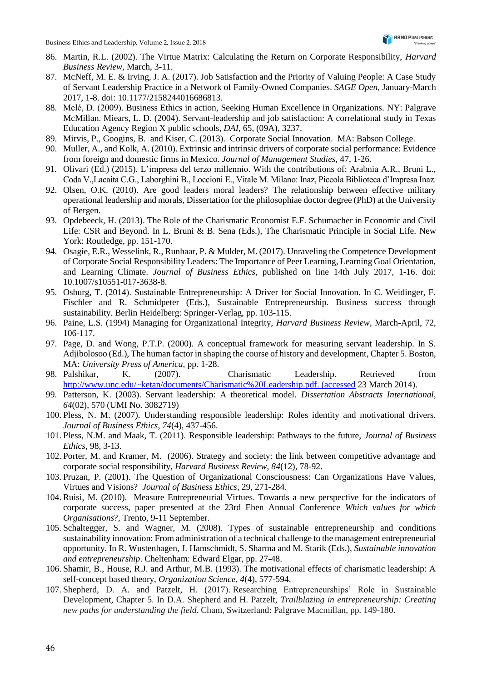- 86. Martin, R.L. (2002). The Virtue Matrix: Calculating the Return on Corporate Responsibility, *Harvard Business Review*, March, 3-11.
- 87. McNeff, M. E. & Irving, J. A. (2017). Job Satisfaction and the Priority of Valuing People: A Case Study of Servant Leadership Practice in a Network of Family-Owned Companies. *SAGE Open*, January-March 2017, 1-8. doi: 10.1177/2158244016686813.
- 88. Melé, D. (2009). Business Ethics in action, Seeking Human Excellence in Organizations. NY: Palgrave McMillan. Miears, L. D. (2004). Servant-leadership and job satisfaction: A correlational study in Texas Education Agency Region X public schools, *DAI,* 65, (09A), 3237.
- 89. Mirvis, P., Googins, B. and Kiser, C. (2013). Corporate Social Innovation. MA: Babson College.
- 90. Muller, A., and Kolk, A. (2010). Extrinsic and intrinsic drivers of corporate social performance: Evidence from foreign and domestic firms in Mexico. *Journal of Management Studies,* 47, 1-26.
- 91. Olivari (Ed.) (2015). L'impresa del terzo millennio. With the contributions of: Arabnia A.R., Bruni L., Coda V.,Lacaita C.G., Laborghini B., Loccioni E., Vitale M. Milano: Inaz, Piccola Biblioteca d'Impresa Inaz.
- 92. Olsen, O.K. (2010). Are good leaders moral leaders? The relationship between effective military operational leadership and morals, Dissertation for the philosophiae doctor degree (PhD) at the University of Bergen.
- 93. Opdebeeck, H. (2013). The Role of the Charismatic Economist E.F. Schumacher in Economic and Civil Life: CSR and Beyond. In L. Bruni & B. Sena (Eds.), The Charismatic Principle in Social Life. New York: Routledge, pp. 151-170.
- 94. Osagie, E.R., Wesselink, R., Runhaar, P. & Mulder, M. (2017). Unraveling the Competence Development of Corporate Social Responsibility Leaders: The Importance of Peer Learning, Learning Goal Orientation, and Learning Climate. *Journal of Business Ethics*, published on line 14th July 2017, 1-16. doi: 10.1007/s10551-017-3638-8.
- 95. Osburg, T. (2014). Sustainable Entrepreneurship: A Driver for Social Innovation. In C. Weidinger, F. Fischler and R. Schmidpeter (Eds.), Sustainable Entrepreneurship. Business success through sustainability. Berlin Heidelberg: Springer-Verlag, pp. 103-115.
- 96. Paine, L.S. (1994) Managing for Organizational Integrity, *Harvard Business Review*, March-April, 72, 106-117.
- 97. Page, D. and Wong, P.T.P. (2000). A conceptual framework for measuring servant leadership. In S. Adjibolosoo (Ed.), The human factor in shaping the course of history and development, Chapter 5. Boston, MA: *University Press of America*, pp. 1-28.
- 98. Palshikar, K. (2007). Charismatic Leadership. Retrieved from [http://www.unc.edu/~ketan/documents/Charismatic%20Leadership.pdf. \(accessed](http://www.unc.edu/~ketan/documents/Charismatic%20Leadership.pdf.%20(accessed) 23 March 2014).
- 99. Patterson, K. (2003). Servant leadership: A theoretical model. *Dissertation Abstracts International, 64*(02), 570 (UMI No. 3082719)
- 100. Pless, N. M. (2007). Understanding responsible leadership: Roles identity and motivational drivers. *Journal of Business Ethics*, *74*(4), 437-456.
- 101. Pless, N.M. and Maak, T. (2011). Responsible leadership: Pathways to the future, *Journal of Business Ethics*, 98, 3-13.
- 102. Porter, M. and Kramer, M. (2006). Strategy and society: the link between competitive advantage and corporate social responsibility, *Harvard Business Review*, *84*(12), 78-92.
- 103. Pruzan, P. (2001). The Question of Organizational Consciousness: Can Organizations Have Values, Virtues and Visions? *Journal of Business Ethics*, 29, 271-284.
- 104. Ruisi, M. (2010). Measure Entrepreneurial Virtues. Towards a new perspective for the indicators of corporate success, paper presented at the 23rd Eben Annual Conference *Which values for which Organisations*?, Trento, 9-11 September.
- 105. Schaltegger, S. and Wagner, M. (2008). Types of sustainable entrepreneurship and conditions sustainability innovation: From administration of a technical challenge to the management entrepreneurial opportunity. In R. Wustenhagen, J. Hamschmidt, S. Sharma and M. Starik (Eds.), *Sustainable innovation and entrepreneurship*. Cheltenham: Edward Elgar, pp. 27-48.
- 106. Shamir, B., House, R.J. and Arthur, M.B. (1993). The motivational effects of charismatic leadership: A self-concept based theory, *Organization Science*, *4*(4), 577-594.
- 107. Shepherd, D. A. and Patzelt, H. (2017). Researching Entrepreneurships' Role in Sustainable Development, Chapter 5. In D.A. Shepherd and H. Patzelt, *Trailblazing in entrepreneurship: Creating new paths for understanding the field*. Cham, Switzerland: Palgrave Macmillan, pp. 149-180.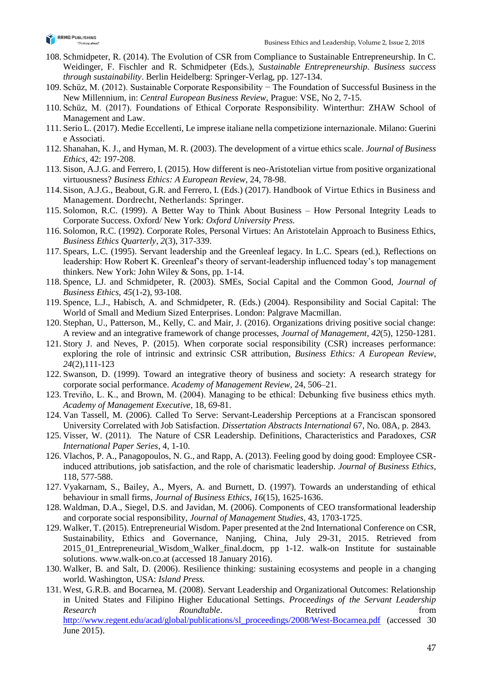

- 108. Schmidpeter, R. (2014). The Evolution of CSR from Compliance to Sustainable Entrepreneurship. In C. Weidinger, F. Fischler and R. Schmidpeter (Eds.), *Sustainable Entrepreneurship. Business success through sustainability*. Berlin Heidelberg: Springer-Verlag, pp. 127-134.
- 109. Schüz, M. (2012). Sustainable Corporate Responsibility − The Foundation of Successful Business in the New Millennium, in: *Central European Business Review*, Prague: VSE, No 2, 7-15.
- 110. Schüz, M. (2017). Foundations of Ethical Corporate Responsibility. Winterthur: ZHAW School of Management and Law.
- 111. Serio L. (2017). Medie Eccellenti, Le imprese italiane nella competizione internazionale. Milano: Guerini e Associati.
- 112. Shanahan, K. J., and Hyman, M. R. (2003). The development of a virtue ethics scale. *Journal of Business Ethics*, 42: 197-208.
- 113. Sison, A.J.G. and Ferrero, I. (2015). How different is neo-Aristotelian virtue from positive organizational virtuousness? *Business Ethics: A European Review*, 24, 78-98.
- 114.Sison, A.J.G., Beabout, G.R. and Ferrero, I. (Eds.) (2017). Handbook of Virtue Ethics in Business and Management. Dordrecht, Netherlands: Springer.
- 115. Solomon, R.C. (1999). A Better Way to Think About Business How Personal Integrity Leads to Corporate Success. Oxford/ New York: *Oxford University Press.*
- 116. Solomon, R.C. (1992). Corporate Roles, Personal Virtues: An Aristotelain Approach to Business Ethics, *Business Ethics Quarterly*, *2*(3), 317-339.
- 117. Spears, L.C. (1995). Servant leadership and the Greenleaf legacy. In L.C. Spears (ed.), Reflections on leadership: How Robert K. Greenleaf's theory of servant-leadership influenced today's top management thinkers. New York: John Wiley & Sons, pp. 1-14.
- 118. Spence, LJ. and Schmidpeter, R. (2003). SMEs, Social Capital and the Common Good, *Journal of Business Ethics, 45*(1-2), 93-108.
- 119. Spence, L.J., Habisch, A. and Schmidpeter, R. (Eds.) (2004). Responsibility and Social Capital: The World of Small and Medium Sized Enterprises. London: Palgrave Macmillan.
- 120. Stephan, U., Patterson, M., Kelly, C. and Mair, J. (2016). Organizations driving positive social change: A review and an integrative framework of change processes, *Journal of Management*, *42*(5), 1250-1281.
- 121. Story J. and Neves, P. (2015). When corporate social responsibility (CSR) increases performance: exploring the role of intrinsic and extrinsic CSR attribution, *Business Ethics: A European Review*, *24*(2),111-123
- 122. Swanson, D. (1999). Toward an integrative theory of business and society: A research strategy for corporate social performance. *Academy of Management Review*, 24, 506–21.
- 123. Treviño, L. K., and Brown, M. (2004). Managing to be ethical: Debunking five business ethics myth. *Academy of Management Executive*, 18, 69-81.
- 124. Van Tassell, M. (2006). Called To Serve: Servant-Leadership Perceptions at a Franciscan sponsored University Correlated with Job Satisfaction. *Dissertation Abstracts International* 67, No. 08A, p. 2843.
- 125. Visser, W. (2011). The Nature of CSR Leadership. Definitions, Characteristics and Paradoxes, *CSR International Paper Series*, 4, 1-10.
- 126. Vlachos, P. A., Panagopoulos, N. G., and Rapp, A. (2013). Feeling good by doing good: Employee CSRinduced attributions, job satisfaction, and the role of charismatic leadership. *Journal of Business Ethics*, 118, 577-588.
- 127. Vyakarnam, S., Bailey, A., Myers, A. and Burnett, D. (1997). Towards an understanding of ethical behaviour in small firms, *Journal of Business Ethics*, *16*(15), 1625-1636.
- 128. Waldman, D.A., Siegel, D.S. and Javidan, M. (2006). Components of CEO transformational leadership and corporate social responsibility, *Journal of Management Studies*, 43, 1703-1725.
- 129. Walker, T. (2015). Entrepreneurial Wisdom. Paper presented at the 2nd International Conference on CSR, Sustainability, Ethics and Governance, Nanjing, China, July 29-31, 2015. Retrieved from 2015\_01\_Entrepreneurial\_Wisdom\_Walker\_final.docm, pp 1-12. walk-on Institute for sustainable solutions. [www.walk-on.co.at](http://www.walk-on.co.at/) (accessed 18 January 2016).
- 130. Walker, B. and Salt, D. (2006). Resilience thinking: sustaining ecosystems and people in a changing world. Washington, USA: *Island Press.*
- 131. West, G.R.B. and Bocarnea, M. (2008). Servant Leadership and Organizational Outcomes: Relationship in United States and Filipino Higher Educational Settings. *Proceedings of the Servant Leadership Research* **Roundtable.** Research **Research Research Research Research Research Research Research Research Research Research Research Research Research Research Research Research Research** [http://www.regent.edu/acad/global/publications/sl\\_proceedings/2008/West-Bocarnea.pdf](http://www.regent.edu/acad/global/publications/sl_proceedings/2008/West-Bocarnea.pdf) (accessed 30 June 2015).